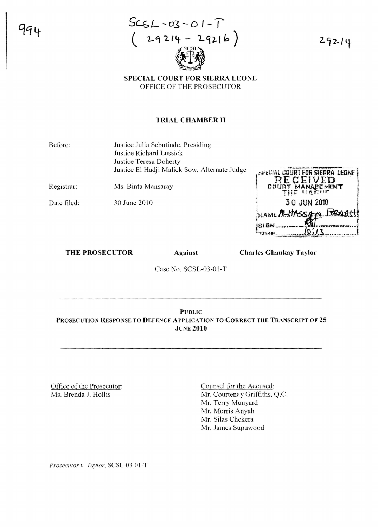

29214

## SPECIAL COURT FOR SIERRA LEONE OFFICE OF THE PROSECUTOR

#### TRIAL CHAMBER II

Before: Justice Julia Sebutinde, Presiding Justice Richard Lussick Justice Teresa Doherty Justice El Hadji Malick Sow, Alternate Judge

Registrar: Ms. Binta Mansaray

Date filed: 30 June 2010 **APECIAL COURT FOR SIERRA LEONE** RECEIVED T MANAGEMENT pou 30 JUN 2010 NAME ALIMSSAN FORNAL  $10:13$ 

#### THE PROSECUTOR Against

Charles Ghankay Taylor

Case No. SCSL-03-01-T

PUBLIC PROSECUTION RESPONSE TO DEFENCE APPLICATION TO CORRECT THE TRANSCRIPT OF 25 **JUNE 2010** 

Office of the Prosecutor: Ms. Brenda J. Hollis

Counsel for the Accused: Mr. Courtenay Griffiths, Q.C. Mr. Terry Munyard Mr. Morris Anyah Mr. Silas Chekera Mr. James Supuwood

*Prosecutor v. Taylor*, SCSL-03-01-T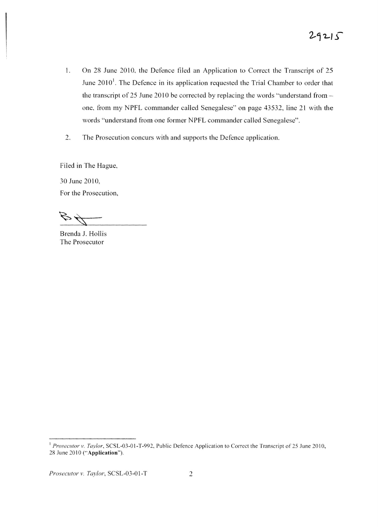- 1. On 28 June 2010, the Defence filed an Application to Correct the Transcript of 25 June  $2010<sup>1</sup>$ . The Defence in its application requested the Trial Chamber to order that the transcript of 25 June 2010 be corrected by replacing the words "understand from  $$ one, from my NPFL commander called Senegalese" on page 43532, line 21 with the words "understand from one former NPFL commander called Senegalese".
- 2. The Prosecution concurs with and supports the Defence application.

Filed in The Hague,

30 June 2010, For the Prosecution,

Brenda J. Hollis The Prosecutor

*Prosecutor v. Taylor*, SCSL-03-01-T 2

<sup>&</sup>lt;sup>1</sup> Prosecutor v. Taylor, SCSL-03-01-T-992, Public Defence Application to Correct the Transcript of 25 June 2010, 28 June 2010 ("Application").